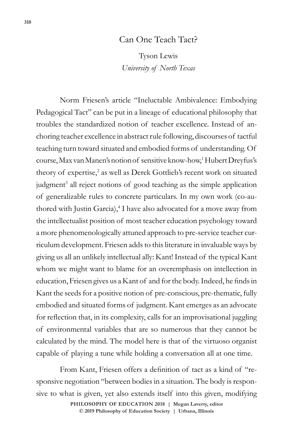## Can One Teach Tact?

Tyson Lewis *University of North Texas*

Norm Friesen's article "Ineluctable Ambivalence: Embodying Pedagogical Tact" can be put in a lineage of educational philosophy that troubles the standardized notion of teacher excellence. Instead of anchoring teacher excellence in abstract rule following, discourses of tactful teaching turn toward situated and embodied forms of understanding. Of course, Max van Manen's notion of sensitive know-how,1 Hubert Dreyfus's theory of expertise,<sup>2</sup> as well as Derek Gottlieb's recent work on situated judgment<sup>3</sup> all reject notions of good teaching as the simple application of generalizable rules to concrete particulars. In my own work (co-authored with Justin Garcia),<sup>4</sup> I have also advocated for a move away from the intellectualist position of most teacher education psychology toward a more phenomenologically attuned approach to pre-service teacher curriculum development. Friesen adds to this literature in invaluable ways by giving us all an unlikely intellectual ally: Kant! Instead of the typical Kant whom we might want to blame for an overemphasis on intellection in education, Friesen gives us a Kant of and for the body. Indeed, he finds in Kant the seeds for a positive notion of pre-conscious, pre-thematic, fully embodied and situated forms of judgment. Kant emerges as an advocate for reflection that, in its complexity, calls for an improvisational juggling of environmental variables that are so numerous that they cannot be calculated by the mind. The model here is that of the virtuoso organist capable of playing a tune while holding a conversation all at one time.

From Kant, Friesen offers a definition of tact as a kind of "responsive negotiation "between bodies in a situation. The body is responsive to what is given, yet also extends itself into this given, modifying

> © 2019 Philosophy of Education Society | Urbana, Illinois **PHILOSOPHY OF EDUCATION 2018 | Megan Laverty, editor**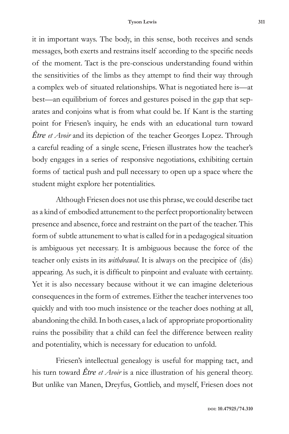it in important ways. The body, in this sense, both receives and sends messages, both exerts and restrains itself according to the specific needs of the moment. Tact is the pre-conscious understanding found within the sensitivities of the limbs as they attempt to find their way through a complex web of situated relationships. What is negotiated here is—at best—an equilibrium of forces and gestures poised in the gap that separates and conjoins what is from what could be. If Kant is the starting point for Friesen's inquiry, he ends with an educational turn toward *Être et Avoir* and its depiction of the teacher Georges Lopez. Through a careful reading of a single scene, Friesen illustrates how the teacher's body engages in a series of responsive negotiations, exhibiting certain forms of tactical push and pull necessary to open up a space where the student might explore her potentialities.

Although Friesen does not use this phrase, we could describe tact as a kind of embodied attunement to the perfect proportionality between presence and absence, force and restraint on the part of the teacher. This form of subtle attunement to what is called for in a pedagogical situation is ambiguous yet necessary. It is ambiguous because the force of the teacher only exists in its *withdrawal*. It is always on the precipice of (dis) appearing. As such, it is difficult to pinpoint and evaluate with certainty. Yet it is also necessary because without it we can imagine deleterious consequences in the form of extremes. Either the teacher intervenes too quickly and with too much insistence or the teacher does nothing at all, abandoning the child. In both cases, a lack of appropriate proportionality ruins the possibility that a child can feel the difference between reality and potentiality, which is necessary for education to unfold.

Friesen's intellectual genealogy is useful for mapping tact, and his turn toward *Être et Avoir* is a nice illustration of his general theory. But unlike van Manen, Dreyfus, Gottlieb, and myself, Friesen does not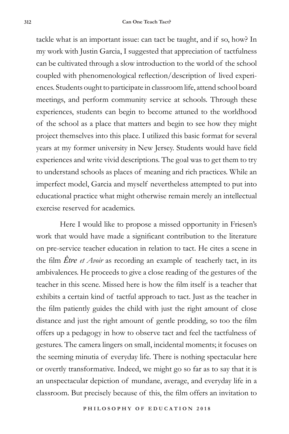tackle what is an important issue: can tact be taught, and if so, how? In my work with Justin Garcia, I suggested that appreciation of tactfulness can be cultivated through a slow introduction to the world of the school coupled with phenomenological reflection/description of lived experiences. Students ought to participate in classroom life, attend school board meetings, and perform community service at schools. Through these experiences, students can begin to become attuned to the worldhood of the school as a place that matters and begin to see how they might project themselves into this place. I utilized this basic format for several years at my former university in New Jersey. Students would have field experiences and write vivid descriptions. The goal was to get them to try to understand schools as places of meaning and rich practices. While an imperfect model, Garcia and myself nevertheless attempted to put into educational practice what might otherwise remain merely an intellectual exercise reserved for academics.

Here I would like to propose a missed opportunity in Friesen's work that would have made a significant contribution to the literature on pre-service teacher education in relation to tact. He cites a scene in the film *Être et Avoir* as recording an example of teacherly tact, in its ambivalences. He proceeds to give a close reading of the gestures of the teacher in this scene. Missed here is how the film itself is a teacher that exhibits a certain kind of tactful approach to tact. Just as the teacher in the film patiently guides the child with just the right amount of close distance and just the right amount of gentle prodding, so too the film offers up a pedagogy in how to observe tact and feel the tactfulness of gestures. The camera lingers on small, incidental moments; it focuses on the seeming minutia of everyday life. There is nothing spectacular here or overtly transformative. Indeed, we might go so far as to say that it is an unspectacular depiction of mundane, average, and everyday life in a classroom. But precisely because of this, the film offers an invitation to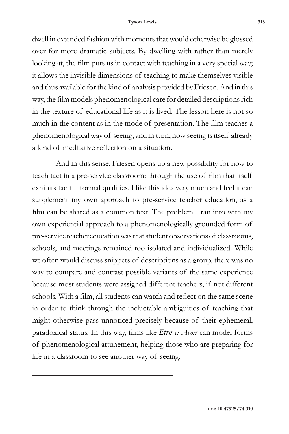## **Tyson Lewis 313**

dwell in extended fashion with moments that would otherwise be glossed over for more dramatic subjects. By dwelling with rather than merely looking at, the film puts us in contact with teaching in a very special way; it allows the invisible dimensions of teaching to make themselves visible and thus available for the kind of analysis provided by Friesen. And in this way, the film models phenomenological care for detailed descriptions rich in the texture of educational life as it is lived. The lesson here is not so much in the content as in the mode of presentation. The film teaches a phenomenological way of seeing, and in turn, now seeing is itself already a kind of meditative reflection on a situation.

And in this sense, Friesen opens up a new possibility for how to teach tact in a pre-service classroom: through the use of film that itself exhibits tactful formal qualities. I like this idea very much and feel it can supplement my own approach to pre-service teacher education, as a film can be shared as a common text. The problem I ran into with my own experiential approach to a phenomenologically grounded form of pre-service teacher education was that student observations of classrooms, schools, and meetings remained too isolated and individualized. While we often would discuss snippets of descriptions as a group, there was no way to compare and contrast possible variants of the same experience because most students were assigned different teachers, if not different schools. With a film, all students can watch and reflect on the same scene in order to think through the ineluctable ambiguities of teaching that might otherwise pass unnoticed precisely because of their ephemeral, paradoxical status. In this way, films like *Être et Avoir* can model forms of phenomenological attunement, helping those who are preparing for life in a classroom to see another way of seeing.